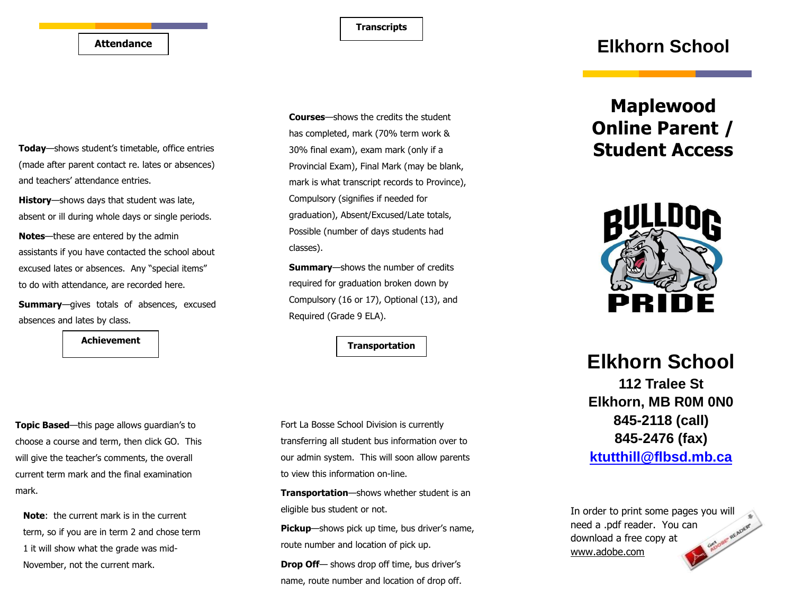**Transcripts**

#### **Attendance**

**Today**—shows student's timetable, office entries (made after parent contact re. lates or absences) and teachers' attendance entries.

**History**—shows days that student was late, absent or ill during whole days or single periods.

**Notes**—these are entered by the admin assistants if you have contacted the school about excused lates or absences. Any "special items" to do with attendance, are recorded here.

**Summary**—gives totals of absences, excused absences and lates by class.

Achievement **and the set of the set of the set of the set of the set of the set of the set of the set of the set of the set of the set of the set of the set of the set of the set of the set of the set of the set of the set** 

**Topic Based**—this page allows guardian's to choose a course and term, then click GO. This will give the teacher's comments, the overall current term mark and the final examination mark.

**Note**: the current mark is in the current term, so if you are in term 2 and chose term 1 it will show what the grade was mid-November, not the current mark.

**Courses**—shows the credits the student has completed, mark (70% term work & 30% final exam), exam mark (only if a Provincial Exam), Final Mark (may be blank, mark is what transcript records to Province), Compulsory (signifies if needed for graduation), Absent/Excused/Late totals, Possible (number of days students had classes).

**Summary**—shows the number of credits required for graduation broken down by Compulsory (16 or 17), Optional (13), and Required (Grade 9 ELA).

Fort La Bosse School Division is currently transferring all student bus information over to our admin system. This will soon allow parents to view this information on-line.

**Transportation**—shows whether student is an eligible bus student or not.

**Pickup**—shows pick up time, bus driver's name, route number and location of pick up.

**Drop Off**— shows drop off time, bus driver's name, route number and location of drop off.

## **Elkhorn School**

# **Maplewood Online Parent / Student Access**



# **Elkhorn School 112 Tralee St Elkhorn, MB R0M 0N0 845-2118 (call) 845-2476 (fax) [ktutthill@flbsd.mb.ca](mailto:ktutthill@flbsd.mb.ca)**

In order to print some pages you will need a .pdf reader. You can download a free copy at www.adobe.com